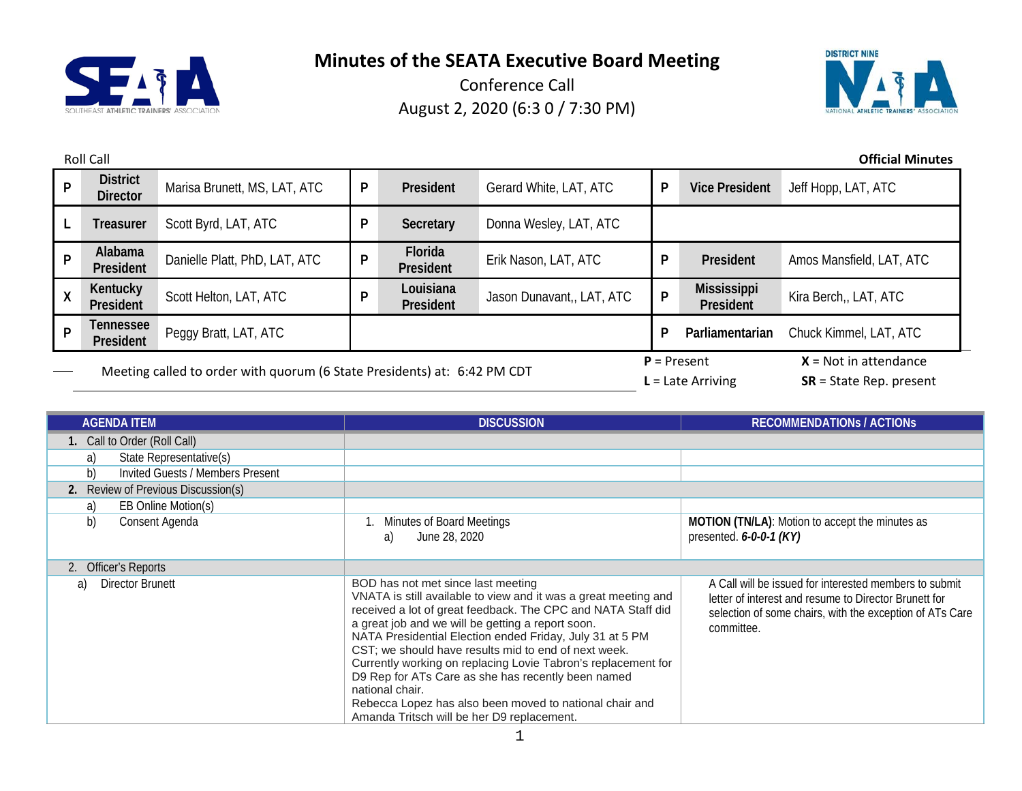



| <b>Roll Call</b>                   |                                                                          |                               |   |                        |                           |                     | <b>Official Minutes</b>                              |                          |
|------------------------------------|--------------------------------------------------------------------------|-------------------------------|---|------------------------|---------------------------|---------------------|------------------------------------------------------|--------------------------|
| P                                  | <b>District</b><br><b>Director</b>                                       | Marisa Brunett, MS, LAT, ATC  | P | President              | Gerard White, LAT, ATC    | P                   | <b>Vice President</b>                                | Jeff Hopp, LAT, ATC      |
|                                    | <b>Treasurer</b>                                                         | Scott Byrd, LAT, ATC          | P | Secretary              | Donna Wesley, LAT, ATC    |                     |                                                      |                          |
| P                                  | Alabama<br>President                                                     | Danielle Platt, PhD, LAT, ATC | P | Florida<br>President   | Erik Nason, LAT, ATC      | P                   | President                                            | Amos Mansfield, LAT, ATC |
| X                                  | Kentucky<br>President                                                    | Scott Helton, LAT, ATC        | P | Louisiana<br>President | Jason Dunavant,, LAT, ATC | P                   | <b>Mississippi</b><br>President                      | Kira Berch,, LAT, ATC    |
| Tennessee<br><b>D</b><br>President |                                                                          | Peggy Bratt, LAT, ATC         |   |                        |                           | P                   | Parliamentarian                                      | Chuck Kimmel, LAT, ATC   |
|                                    | Meeting called to order with quorum (6 State Presidents) at: 6:42 PM CDT |                               |   |                        | $P =$ Present             | $L =$ Late Arriving | $X = Not in attendance$<br>$SR = State Rep. present$ |                          |

| <b>AGENDA ITEM</b>                            | <b>DISCUSSION</b>                                                                                                                                                                                                                                                                                                                                                                                                                                                                                                                                                                                 | <b>RECOMMENDATIONS / ACTIONS</b>                                                                                                                                                          |  |  |
|-----------------------------------------------|---------------------------------------------------------------------------------------------------------------------------------------------------------------------------------------------------------------------------------------------------------------------------------------------------------------------------------------------------------------------------------------------------------------------------------------------------------------------------------------------------------------------------------------------------------------------------------------------------|-------------------------------------------------------------------------------------------------------------------------------------------------------------------------------------------|--|--|
| 1. Call to Order (Roll Call)                  |                                                                                                                                                                                                                                                                                                                                                                                                                                                                                                                                                                                                   |                                                                                                                                                                                           |  |  |
| State Representative(s)<br>a)                 |                                                                                                                                                                                                                                                                                                                                                                                                                                                                                                                                                                                                   |                                                                                                                                                                                           |  |  |
| b)<br><b>Invited Guests / Members Present</b> |                                                                                                                                                                                                                                                                                                                                                                                                                                                                                                                                                                                                   |                                                                                                                                                                                           |  |  |
| 2. Review of Previous Discussion(s)           |                                                                                                                                                                                                                                                                                                                                                                                                                                                                                                                                                                                                   |                                                                                                                                                                                           |  |  |
| EB Online Motion(s)<br>a)                     |                                                                                                                                                                                                                                                                                                                                                                                                                                                                                                                                                                                                   |                                                                                                                                                                                           |  |  |
| b)<br>Consent Agenda                          | Minutes of Board Meetings<br>June 28, 2020<br>a)                                                                                                                                                                                                                                                                                                                                                                                                                                                                                                                                                  | MOTION (TN/LA): Motion to accept the minutes as<br>presented. $6-0-0-1$ (KY)                                                                                                              |  |  |
| 2. Officer's Reports                          |                                                                                                                                                                                                                                                                                                                                                                                                                                                                                                                                                                                                   |                                                                                                                                                                                           |  |  |
| Director Brunett<br>a)                        | BOD has not met since last meeting<br>VNATA is still available to view and it was a great meeting and<br>received a lot of great feedback. The CPC and NATA Staff did<br>a great job and we will be getting a report soon.<br>NATA Presidential Election ended Friday, July 31 at 5 PM<br>CST; we should have results mid to end of next week.<br>Currently working on replacing Lovie Tabron's replacement for<br>D9 Rep for ATs Care as she has recently been named<br>national chair.<br>Rebecca Lopez has also been moved to national chair and<br>Amanda Tritsch will be her D9 replacement. | A Call will be issued for interested members to submit<br>letter of interest and resume to Director Brunett for<br>selection of some chairs, with the exception of ATs Care<br>committee. |  |  |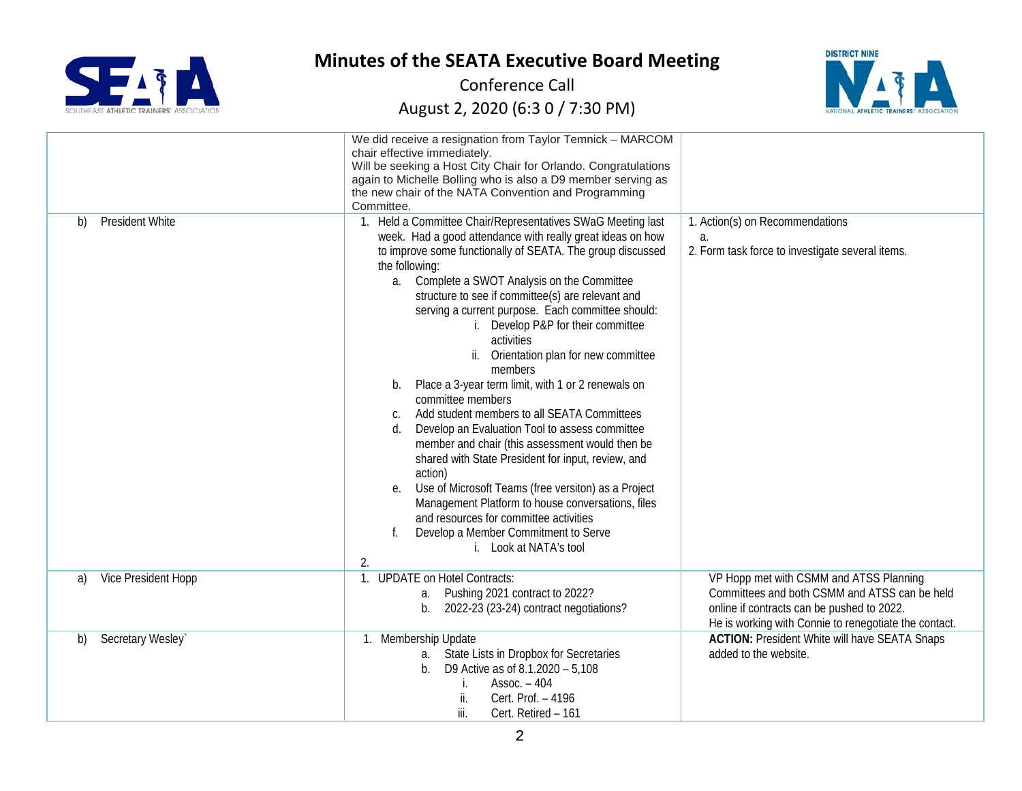



|                              | We did receive a resignation from Taylor Temnick - MARCOM<br>chair effective immediately.<br>Will be seeking a Host City Chair for Orlando. Congratulations<br>again to Michelle Bolling who is also a D9 member serving as<br>the new chair of the NATA Convention and Programming<br>Committee.                                                                                                                                                                                                                                                                                                                                                                                                                                                                                                                                                                                                                                                                                                                                     |                                                                                                                                                                                                 |
|------------------------------|---------------------------------------------------------------------------------------------------------------------------------------------------------------------------------------------------------------------------------------------------------------------------------------------------------------------------------------------------------------------------------------------------------------------------------------------------------------------------------------------------------------------------------------------------------------------------------------------------------------------------------------------------------------------------------------------------------------------------------------------------------------------------------------------------------------------------------------------------------------------------------------------------------------------------------------------------------------------------------------------------------------------------------------|-------------------------------------------------------------------------------------------------------------------------------------------------------------------------------------------------|
| <b>President White</b><br>b) | 1. Held a Committee Chair/Representatives SWaG Meeting last<br>week. Had a good attendance with really great ideas on how<br>to improve some functionally of SEATA. The group discussed<br>the following:<br>a. Complete a SWOT Analysis on the Committee<br>structure to see if committee(s) are relevant and<br>serving a current purpose. Each committee should:<br>i. Develop P&P for their committee<br>activities<br>ii. Orientation plan for new committee<br>members<br>Place a 3-year term limit, with 1 or 2 renewals on<br>b.<br>committee members<br>Add student members to all SEATA Committees<br>C.<br>$d$ .<br>Develop an Evaluation Tool to assess committee<br>member and chair (this assessment would then be<br>shared with State President for input, review, and<br>action)<br>Use of Microsoft Teams (free versiton) as a Project<br>е.<br>Management Platform to house conversations, files<br>and resources for committee activities<br>Develop a Member Commitment to Serve<br>i. Look at NATA's tool<br>2. | 1. Action(s) on Recommendations<br>a.<br>2. Form task force to investigate several items.                                                                                                       |
| Vice President Hopp<br>a)    | 1. UPDATE on Hotel Contracts:<br>a. Pushing 2021 contract to 2022?<br>2022-23 (23-24) contract negotiations?<br>$b_{\cdot}$                                                                                                                                                                                                                                                                                                                                                                                                                                                                                                                                                                                                                                                                                                                                                                                                                                                                                                           | VP Hopp met with CSMM and ATSS Planning<br>Committees and both CSMM and ATSS can be held<br>online if contracts can be pushed to 2022.<br>He is working with Connie to renegotiate the contact. |
| Secretary Wesley`<br>b)      | 1. Membership Update<br>a. State Lists in Dropbox for Secretaries<br>D9 Active as of 8.1.2020 - 5,108<br>b.<br>$Assoc. - 404$<br>Cert. Prof. - 4196<br>ii.<br>iii.<br>Cert. Retired - 161                                                                                                                                                                                                                                                                                                                                                                                                                                                                                                                                                                                                                                                                                                                                                                                                                                             | <b>ACTION: President White will have SEATA Snaps</b><br>added to the website.                                                                                                                   |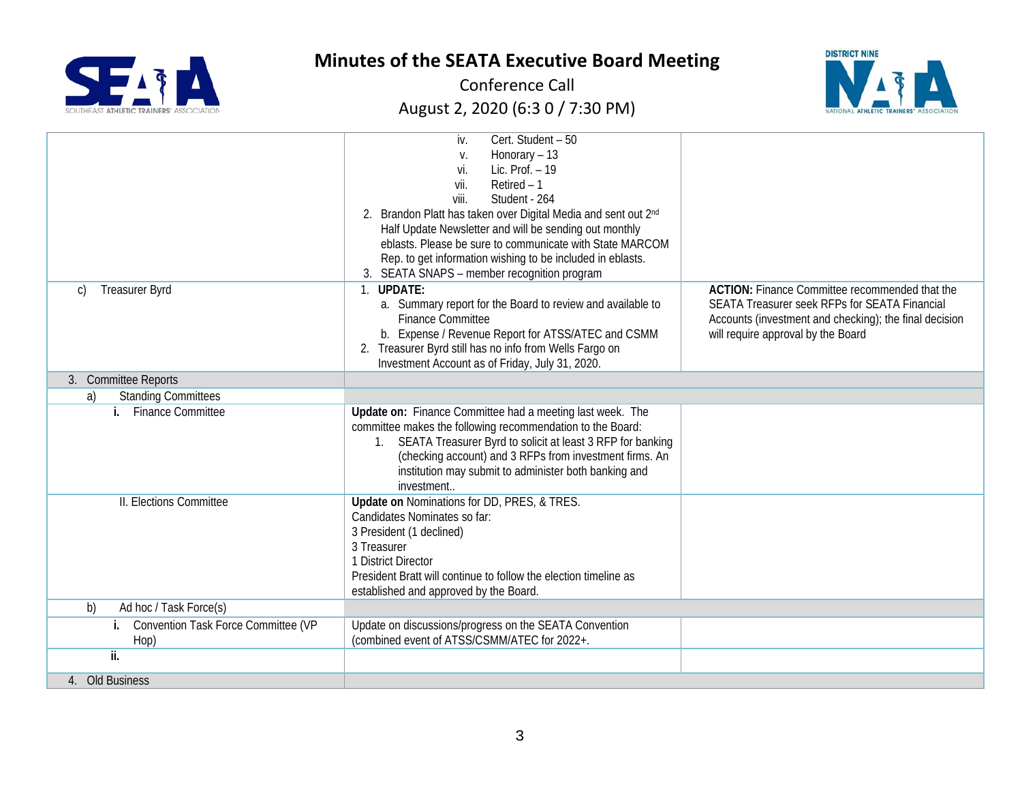



|                                        | iv.<br>Cert. Student - 50                                                                                                |                                                        |
|----------------------------------------|--------------------------------------------------------------------------------------------------------------------------|--------------------------------------------------------|
|                                        | Honorary - 13<br>V.                                                                                                      |                                                        |
|                                        | Lic. Prof. - 19<br>vi.                                                                                                   |                                                        |
|                                        | vii.<br>Retired $-1$                                                                                                     |                                                        |
|                                        | viii.<br>Student - 264                                                                                                   |                                                        |
|                                        | 2. Brandon Platt has taken over Digital Media and sent out 2nd<br>Half Update Newsletter and will be sending out monthly |                                                        |
|                                        | eblasts. Please be sure to communicate with State MARCOM                                                                 |                                                        |
|                                        | Rep. to get information wishing to be included in eblasts.                                                               |                                                        |
|                                        | 3. SEATA SNAPS - member recognition program                                                                              |                                                        |
| <b>Treasurer Byrd</b><br>C)            | <b>UPDATE:</b><br>$\mathbf{1}$ .                                                                                         | <b>ACTION:</b> Finance Committee recommended that the  |
|                                        | a. Summary report for the Board to review and available to                                                               | SEATA Treasurer seek RFPs for SEATA Financial          |
|                                        | <b>Finance Committee</b>                                                                                                 | Accounts (investment and checking); the final decision |
|                                        | b. Expense / Revenue Report for ATSS/ATEC and CSMM                                                                       | will require approval by the Board                     |
|                                        | 2. Treasurer Byrd still has no info from Wells Fargo on                                                                  |                                                        |
|                                        | Investment Account as of Friday, July 31, 2020.                                                                          |                                                        |
| 3. Committee Reports                   |                                                                                                                          |                                                        |
| <b>Standing Committees</b><br>a)       |                                                                                                                          |                                                        |
| i. Finance Committee                   | Update on: Finance Committee had a meeting last week. The                                                                |                                                        |
|                                        | committee makes the following recommendation to the Board:                                                               |                                                        |
|                                        | 1. SEATA Treasurer Byrd to solicit at least 3 RFP for banking                                                            |                                                        |
|                                        | (checking account) and 3 RFPs from investment firms. An                                                                  |                                                        |
|                                        | institution may submit to administer both banking and                                                                    |                                                        |
|                                        | investment                                                                                                               |                                                        |
| II. Elections Committee                | Update on Nominations for DD, PRES, & TRES.<br>Candidates Nominates so far:                                              |                                                        |
|                                        | 3 President (1 declined)                                                                                                 |                                                        |
|                                        | 3 Treasurer                                                                                                              |                                                        |
|                                        | 1 District Director                                                                                                      |                                                        |
|                                        | President Bratt will continue to follow the election timeline as                                                         |                                                        |
|                                        | established and approved by the Board.                                                                                   |                                                        |
| Ad hoc / Task Force(s)<br>b)           |                                                                                                                          |                                                        |
| i. Convention Task Force Committee (VP | Update on discussions/progress on the SEATA Convention                                                                   |                                                        |
| Hop)                                   | (combined event of ATSS/CSMM/ATEC for 2022+.                                                                             |                                                        |
| ii.                                    |                                                                                                                          |                                                        |
| 4. Old Business                        |                                                                                                                          |                                                        |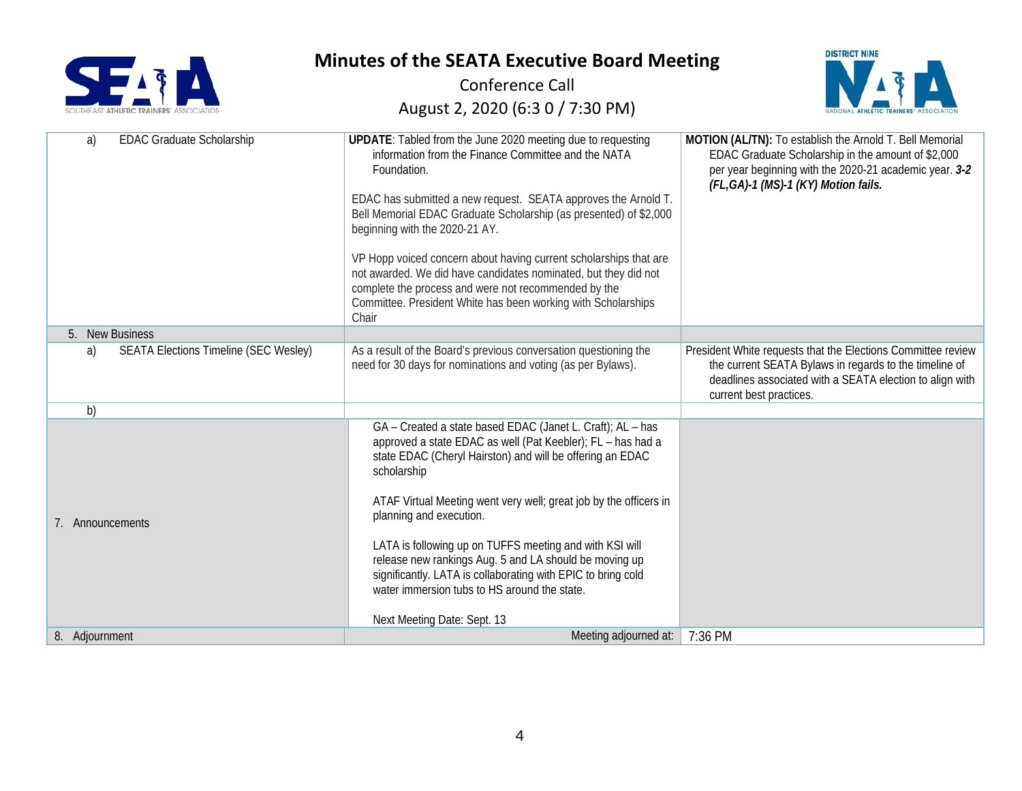



| <b>EDAC Graduate Scholarship</b><br>a)             | UPDATE: Tabled from the June 2020 meeting due to requesting<br>information from the Finance Committee and the NATA<br>Foundation.<br>EDAC has submitted a new request. SEATA approves the Arnold T.                                                                                                                                                                                                                                                                                                                                                                       | MOTION (AL/TN): To establish the Arnold T. Bell Memorial<br>EDAC Graduate Scholarship in the amount of \$2,000<br>per year beginning with the 2020-21 academic year. 3-2<br>(FL,GA)-1 (MS)-1 (KY) Motion fails. |
|----------------------------------------------------|---------------------------------------------------------------------------------------------------------------------------------------------------------------------------------------------------------------------------------------------------------------------------------------------------------------------------------------------------------------------------------------------------------------------------------------------------------------------------------------------------------------------------------------------------------------------------|-----------------------------------------------------------------------------------------------------------------------------------------------------------------------------------------------------------------|
|                                                    | Bell Memorial EDAC Graduate Scholarship (as presented) of \$2,000<br>beginning with the 2020-21 AY.                                                                                                                                                                                                                                                                                                                                                                                                                                                                       |                                                                                                                                                                                                                 |
|                                                    | VP Hopp voiced concern about having current scholarships that are<br>not awarded. We did have candidates nominated, but they did not<br>complete the process and were not recommended by the<br>Committee. President White has been working with Scholarships<br>Chair                                                                                                                                                                                                                                                                                                    |                                                                                                                                                                                                                 |
| 5. New Business                                    |                                                                                                                                                                                                                                                                                                                                                                                                                                                                                                                                                                           |                                                                                                                                                                                                                 |
| <b>SEATA Elections Timeline (SEC Wesley)</b><br>a) | As a result of the Board's previous conversation questioning the<br>need for 30 days for nominations and voting (as per Bylaws).                                                                                                                                                                                                                                                                                                                                                                                                                                          | President White requests that the Elections Committee review<br>the current SEATA Bylaws in regards to the timeline of<br>deadlines associated with a SEATA election to align with<br>current best practices.   |
| b)                                                 |                                                                                                                                                                                                                                                                                                                                                                                                                                                                                                                                                                           |                                                                                                                                                                                                                 |
| 7. Announcements                                   | GA - Created a state based EDAC (Janet L. Craft); AL - has<br>approved a state EDAC as well (Pat Keebler); FL - has had a<br>state EDAC (Cheryl Hairston) and will be offering an EDAC<br>scholarship<br>ATAF Virtual Meeting went very well; great job by the officers in<br>planning and execution.<br>LATA is following up on TUFFS meeting and with KSI will<br>release new rankings Aug. 5 and LA should be moving up<br>significantly. LATA is collaborating with EPIC to bring cold<br>water immersion tubs to HS around the state.<br>Next Meeting Date: Sept. 13 |                                                                                                                                                                                                                 |
| 8. Adjournment                                     | Meeting adjourned at:                                                                                                                                                                                                                                                                                                                                                                                                                                                                                                                                                     | 7:36 PM                                                                                                                                                                                                         |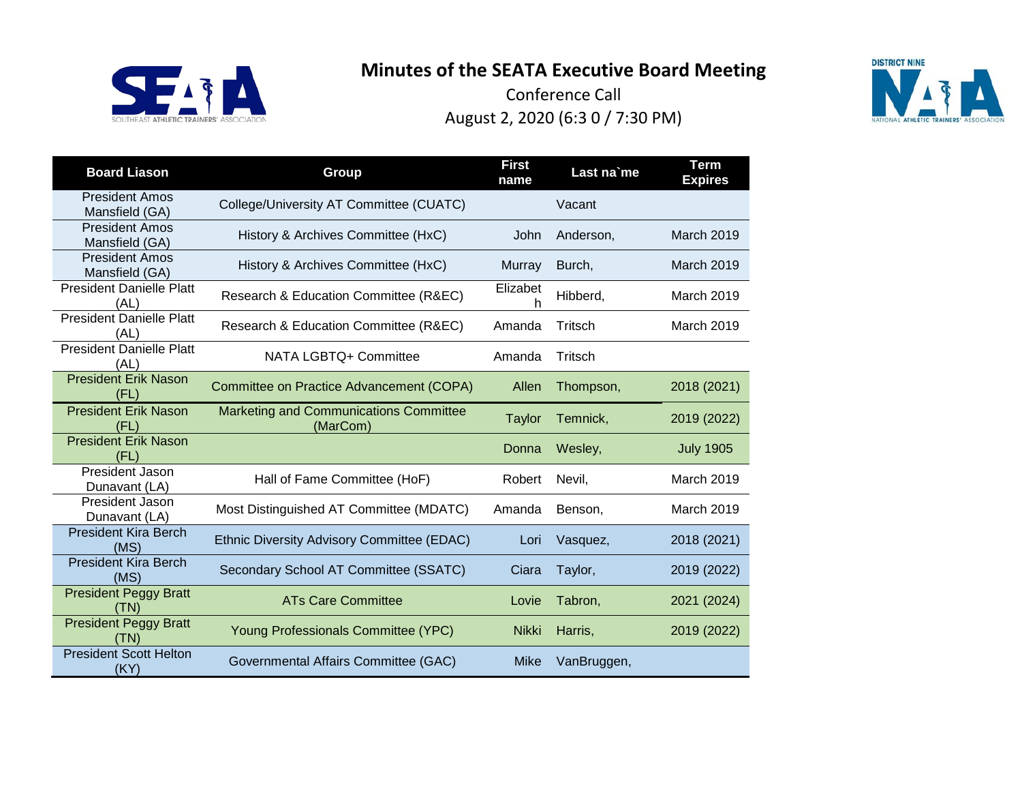



| <b>Board Liason</b>                     | Group                                                     | <b>First</b><br>name | Last na'me  | <b>Term</b><br><b>Expires</b> |
|-----------------------------------------|-----------------------------------------------------------|----------------------|-------------|-------------------------------|
| <b>President Amos</b><br>Mansfield (GA) | College/University AT Committee (CUATC)                   |                      | Vacant      |                               |
| <b>President Amos</b><br>Mansfield (GA) | History & Archives Committee (HxC)                        | John                 | Anderson,   | March 2019                    |
| <b>President Amos</b><br>Mansfield (GA) | History & Archives Committee (HxC)                        | Murray               | Burch,      | March 2019                    |
| <b>President Danielle Platt</b><br>(AL) | Research & Education Committee (R&EC)                     | Elizabet<br>h        | Hibberd,    | <b>March 2019</b>             |
| <b>President Danielle Platt</b><br>(AL) | Research & Education Committee (R&EC)                     | Amanda               | Tritsch     | March 2019                    |
| <b>President Danielle Platt</b><br>(AL) | NATA LGBTQ+ Committee                                     | Amanda               | Tritsch     |                               |
| <b>President Erik Nason</b><br>(FL)     | Committee on Practice Advancement (COPA)                  | Allen                | Thompson,   | 2018 (2021)                   |
| <b>President Erik Nason</b><br>(FL)     | <b>Marketing and Communications Committee</b><br>(MarCom) | <b>Taylor</b>        | Temnick,    | 2019 (2022)                   |
| <b>President Erik Nason</b><br>(FL)     |                                                           | Donna                | Wesley,     | <b>July 1905</b>              |
| President Jason<br>Dunavant (LA)        | Hall of Fame Committee (HoF)                              | Robert               | Nevil,      | <b>March 2019</b>             |
| President Jason<br>Dunavant (LA)        | Most Distinguished AT Committee (MDATC)                   | Amanda               | Benson,     | <b>March 2019</b>             |
| <b>President Kira Berch</b><br>(MS)     | Ethnic Diversity Advisory Committee (EDAC)                | Lori                 | Vasquez,    | 2018 (2021)                   |
| <b>President Kira Berch</b><br>(MS)     | Secondary School AT Committee (SSATC)                     | Ciara                | Taylor,     | 2019 (2022)                   |
| <b>President Peggy Bratt</b><br>(TN)    | <b>ATs Care Committee</b>                                 | Lovie                | Tabron,     | 2021 (2024)                   |
| <b>President Peggy Bratt</b><br>(TN)    | Young Professionals Committee (YPC)                       | <b>Nikki</b>         | Harris,     | 2019 (2022)                   |
| <b>President Scott Helton</b><br>(KY)   | Governmental Affairs Committee (GAC)                      | <b>Mike</b>          | VanBruggen, |                               |